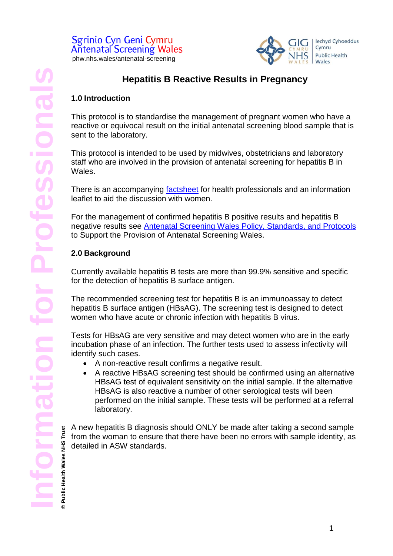

# **Hepatitis B Reactive Results in Pregnancy**

#### **1.0 Introduction**

This protocol is to standardise the management of pregnant women who have a reactive or equivocal result on the initial antenatal screening blood sample that is sent to the laboratory.

This protocol is intended to be used by midwives, obstetricians and laboratory staff who are involved in the provision of antenatal screening for hepatitis B in Wales.

There is an accompanying [factsheet](https://phw.nhs.wales/services-and-teams/screening/antenatal-screening-wales/information-for-professionals/) for health professionals and an information leaflet to aid the discussion with women.

For the management of confirmed hepatitis B positive results and hepatitis B negative results see [Antenatal Screening Wales Policy, Standards,](https://phw.nhs.wales/services-and-teams/screening/antenatal-screening-wales/information-for-professionals/) and Protocols to Support the Provision of Antenatal Screening Wales.

### **2.0 Background**

**jon for Profes** 

Currently available hepatitis B tests are more than 99.9% sensitive and specific for the detection of hepatitis B surface antigen.

The recommended screening test for hepatitis B is an immunoassay to detect hepatitis B surface antigen (HBsAG). The screening test is designed to detect women who have acute or chronic infection with hepatitis B virus.

Tests for HBsAG are very sensitive and may detect women who are in the early incubation phase of an infection. The further tests used to assess infectivity will identify such cases.

- A non-reactive result confirms a negative result.
- A reactive HBsAG screening test should be confirmed using an alternative HBsAG test of equivalent sensitivity on the initial sample. If the alternative HBsAG is also reactive a number of other serological tests will been performed on the initial sample. These tests will be performed at a referral laboratory.

A new hepatitis B diagnosis should ONLY be made after taking a second sample **© Public Health Wales NHS Trust** from the woman to ensure that there have been no errors with sample identity, as Public Health Wales NHS detailed in ASW standards.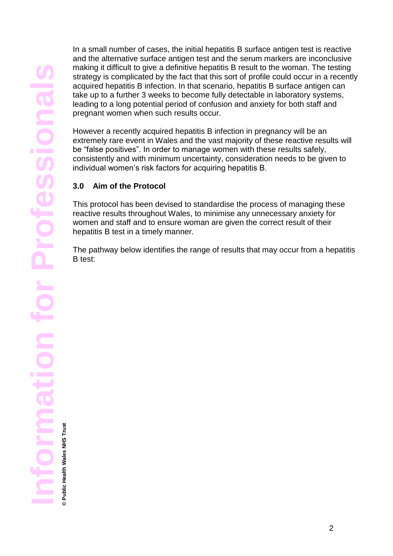In a small number of cases, the initial hepatitis B surface antigen test is reactive and the alternative surface antigen test and the serum markers are inconclusive making it difficult to give a definitive hepatitis B result to the woman. The testing strategy is complicated by the fact that this sort of profile could occur in a recently acquired hepatitis B infection. In that scenario, hepatitis B surface antigen can take up to a further 3 weeks to become fully detectable in laboratory systems, leading to a long potential period of confusion and anxiety for both staff and pregnant women when such results occur.

However a recently acquired hepatitis B infection in pregnancy will be an extremely rare event in Wales and the vast majority of these reactive results will be "false positives". In order to manage women with these results safely, consistently and with minimum uncertainty, consideration needs to be given to individual women's risk factors for acquiring hepatitis B.

### **3.0 Aim of the Protocol**

This protocol has been devised to standardise the process of managing these reactive results throughout Wales, to minimise any unnecessary anxiety for women and staff and to ensure woman are given the correct result of their hepatitis B test in a timely manner.

The pathway below identifies the range of results that may occur from a hepatitis B test:

**Public Health Wales NHS Trust © Public Health Wales NHS Trust**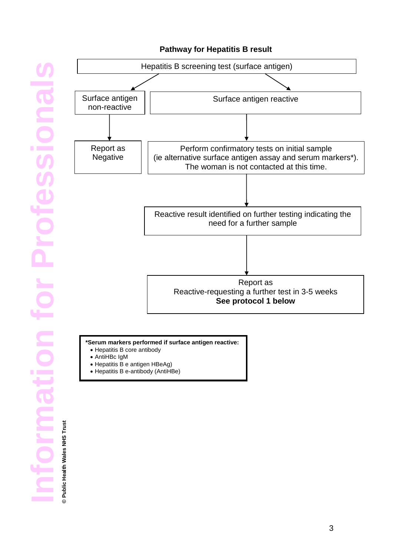### **Pathway for Hepatitis B result**